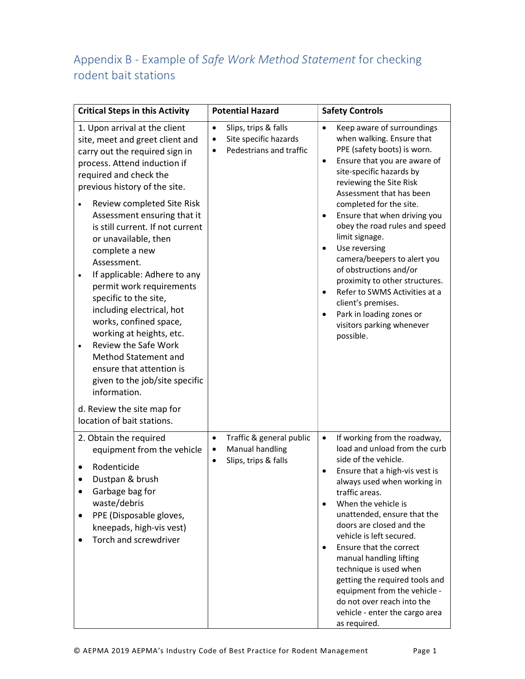## Appendix B - Example of Safe Work Method Statement for checking rodent bait stations

| <b>Critical Steps in this Activity</b>                                                                                                                                                                                                                                                                                                                                                                                                                                                                                                                                                                                                                                                                                                                     | <b>Potential Hazard</b>                                                                                         | <b>Safety Controls</b>                                                                                                                                                                                                                                                                                                                                                                                                                                                                                                                                                                                                                         |
|------------------------------------------------------------------------------------------------------------------------------------------------------------------------------------------------------------------------------------------------------------------------------------------------------------------------------------------------------------------------------------------------------------------------------------------------------------------------------------------------------------------------------------------------------------------------------------------------------------------------------------------------------------------------------------------------------------------------------------------------------------|-----------------------------------------------------------------------------------------------------------------|------------------------------------------------------------------------------------------------------------------------------------------------------------------------------------------------------------------------------------------------------------------------------------------------------------------------------------------------------------------------------------------------------------------------------------------------------------------------------------------------------------------------------------------------------------------------------------------------------------------------------------------------|
| 1. Upon arrival at the client<br>site, meet and greet client and<br>carry out the required sign in<br>process. Attend induction if<br>required and check the<br>previous history of the site.<br>Review completed Site Risk<br>Assessment ensuring that it<br>is still current. If not current<br>or unavailable, then<br>complete a new<br>Assessment.<br>If applicable: Adhere to any<br>$\bullet$<br>permit work requirements<br>specific to the site,<br>including electrical, hot<br>works, confined space,<br>working at heights, etc.<br>Review the Safe Work<br>$\bullet$<br><b>Method Statement and</b><br>ensure that attention is<br>given to the job/site specific<br>information.<br>d. Review the site map for<br>location of bait stations. | Slips, trips & falls<br>$\bullet$<br>Site specific hazards<br>$\bullet$<br>Pedestrians and traffic<br>$\bullet$ | $\bullet$<br>Keep aware of surroundings<br>when walking. Ensure that<br>PPE (safety boots) is worn.<br>Ensure that you are aware of<br>$\bullet$<br>site-specific hazards by<br>reviewing the Site Risk<br>Assessment that has been<br>completed for the site.<br>Ensure that when driving you<br>$\bullet$<br>obey the road rules and speed<br>limit signage.<br>Use reversing<br>$\bullet$<br>camera/beepers to alert you<br>of obstructions and/or<br>proximity to other structures.<br>Refer to SWMS Activities at a<br>$\bullet$<br>client's premises.<br>Park in loading zones or<br>$\bullet$<br>visitors parking whenever<br>possible. |
| 2. Obtain the required<br>equipment from the vehicle<br>Rodenticide<br>٠<br>Dustpan & brush<br>Garbage bag for<br>waste/debris<br>PPE (Disposable gloves,<br>٠<br>kneepads, high-vis vest)<br>Torch and screwdriver                                                                                                                                                                                                                                                                                                                                                                                                                                                                                                                                        | Traffic & general public<br>$\bullet$<br>Manual handling<br>٠<br>Slips, trips & falls<br>$\bullet$              | If working from the roadway,<br>$\bullet$<br>load and unload from the curb<br>side of the vehicle.<br>Ensure that a high-vis vest is<br>$\bullet$<br>always used when working in<br>traffic areas.<br>When the vehicle is<br>$\bullet$<br>unattended, ensure that the<br>doors are closed and the<br>vehicle is left secured.<br>Ensure that the correct<br>$\bullet$<br>manual handling lifting<br>technique is used when<br>getting the required tools and<br>equipment from the vehicle -<br>do not over reach into the<br>vehicle - enter the cargo area<br>as required.                                                                   |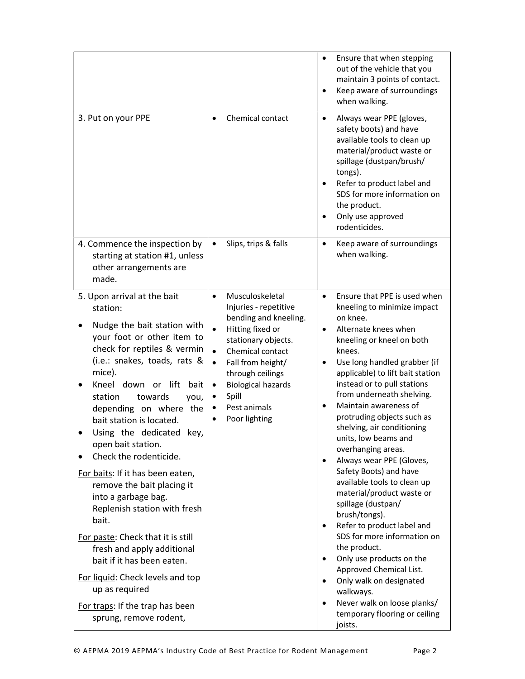|                                                                                                                                                                                                                                                                                                                                                                                                                                                                                                                                                                                                                                                                                                                                           |                                                                                                                                                                                                                                                                                                                                          | Ensure that when stepping<br>$\bullet$<br>out of the vehicle that you<br>maintain 3 points of contact.<br>Keep aware of surroundings<br>$\bullet$<br>when walking.                                                                                                                                                                                                                                                                                                                                                                                                                                                                                                                                                                                                                                                                                                                                                                             |
|-------------------------------------------------------------------------------------------------------------------------------------------------------------------------------------------------------------------------------------------------------------------------------------------------------------------------------------------------------------------------------------------------------------------------------------------------------------------------------------------------------------------------------------------------------------------------------------------------------------------------------------------------------------------------------------------------------------------------------------------|------------------------------------------------------------------------------------------------------------------------------------------------------------------------------------------------------------------------------------------------------------------------------------------------------------------------------------------|------------------------------------------------------------------------------------------------------------------------------------------------------------------------------------------------------------------------------------------------------------------------------------------------------------------------------------------------------------------------------------------------------------------------------------------------------------------------------------------------------------------------------------------------------------------------------------------------------------------------------------------------------------------------------------------------------------------------------------------------------------------------------------------------------------------------------------------------------------------------------------------------------------------------------------------------|
| 3. Put on your PPE                                                                                                                                                                                                                                                                                                                                                                                                                                                                                                                                                                                                                                                                                                                        | Chemical contact<br>$\bullet$                                                                                                                                                                                                                                                                                                            | Always wear PPE (gloves,<br>$\bullet$<br>safety boots) and have<br>available tools to clean up<br>material/product waste or<br>spillage (dustpan/brush/<br>tongs).<br>Refer to product label and<br>$\bullet$<br>SDS for more information on<br>the product.<br>Only use approved<br>$\bullet$<br>rodenticides.                                                                                                                                                                                                                                                                                                                                                                                                                                                                                                                                                                                                                                |
| 4. Commence the inspection by<br>starting at station #1, unless<br>other arrangements are<br>made.                                                                                                                                                                                                                                                                                                                                                                                                                                                                                                                                                                                                                                        | Slips, trips & falls<br>$\bullet$                                                                                                                                                                                                                                                                                                        | Keep aware of surroundings<br>$\bullet$<br>when walking.                                                                                                                                                                                                                                                                                                                                                                                                                                                                                                                                                                                                                                                                                                                                                                                                                                                                                       |
| 5. Upon arrival at the bait<br>station:<br>Nudge the bait station with<br>٠<br>your foot or other item to<br>check for reptiles & vermin<br>(i.e.: snakes, toads, rats &<br>mice).<br>Kneel down or<br>lift<br>bait<br>station<br>towards<br>you,<br>depending on where the<br>bait station is located.<br>Using the dedicated key,<br>open bait station.<br>Check the rodenticide.<br>For baits: If it has been eaten,<br>remove the bait placing it<br>into a garbage bag.<br>Replenish station with fresh<br>bait.<br>For paste: Check that it is still<br>fresh and apply additional<br>bait if it has been eaten.<br>For liquid: Check levels and top<br>up as required<br>For traps: If the trap has been<br>sprung, remove rodent, | Musculoskeletal<br>$\bullet$<br>Injuries - repetitive<br>bending and kneeling.<br>Hitting fixed or<br>$\bullet$<br>stationary objects.<br>Chemical contact<br>$\bullet$<br>Fall from height/<br>$\bullet$<br>through ceilings<br><b>Biological hazards</b><br>$\bullet$<br>Spill<br>$\bullet$<br>Pest animals<br>٠<br>Poor lighting<br>٠ | Ensure that PPE is used when<br>$\bullet$<br>kneeling to minimize impact<br>on knee.<br>Alternate knees when<br>$\bullet$<br>kneeling or kneel on both<br>knees.<br>Use long handled grabber (if<br>$\bullet$<br>applicable) to lift bait station<br>instead or to pull stations<br>from underneath shelving.<br>Maintain awareness of<br>$\bullet$<br>protruding objects such as<br>shelving, air conditioning<br>units, low beams and<br>overhanging areas.<br>Always wear PPE (Gloves,<br>$\bullet$<br>Safety Boots) and have<br>available tools to clean up<br>material/product waste or<br>spillage (dustpan/<br>brush/tongs).<br>Refer to product label and<br>$\bullet$<br>SDS for more information on<br>the product.<br>Only use products on the<br>$\bullet$<br>Approved Chemical List.<br>Only walk on designated<br>$\bullet$<br>walkways.<br>Never walk on loose planks/<br>$\bullet$<br>temporary flooring or ceiling<br>joists. |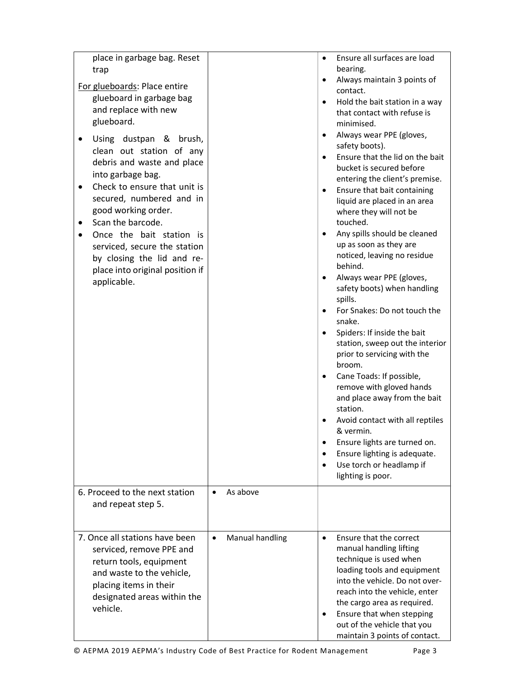| place in garbage bag. Reset<br>trap<br>For glueboards: Place entire<br>glueboard in garbage bag<br>and replace with new<br>glueboard.<br>Using dustpan & brush,<br>clean out station of any<br>debris and waste and place<br>into garbage bag.<br>Check to ensure that unit is<br>secured, numbered and in<br>good working order.<br>Scan the barcode.<br>Once the bait station is<br>serviced, secure the station<br>by closing the lid and re-<br>place into original position if<br>applicable. |                              | Ensure all surfaces are load<br>$\bullet$<br>bearing.<br>Always maintain 3 points of<br>$\bullet$<br>contact.<br>Hold the bait station in a way<br>$\bullet$<br>that contact with refuse is<br>minimised.<br>Always wear PPE (gloves,<br>$\bullet$<br>safety boots).<br>Ensure that the lid on the bait<br>$\bullet$<br>bucket is secured before<br>entering the client's premise.<br>Ensure that bait containing<br>$\bullet$<br>liquid are placed in an area<br>where they will not be<br>touched.<br>Any spills should be cleaned<br>$\bullet$<br>up as soon as they are<br>noticed, leaving no residue<br>behind.<br>Always wear PPE (gloves,<br>$\bullet$<br>safety boots) when handling<br>spills.<br>For Snakes: Do not touch the<br>$\bullet$<br>snake.<br>Spiders: If inside the bait<br>$\bullet$<br>station, sweep out the interior<br>prior to servicing with the<br>broom.<br>Cane Toads: If possible,<br>$\bullet$<br>remove with gloved hands<br>and place away from the bait<br>station.<br>Avoid contact with all reptiles<br>& vermin. |
|----------------------------------------------------------------------------------------------------------------------------------------------------------------------------------------------------------------------------------------------------------------------------------------------------------------------------------------------------------------------------------------------------------------------------------------------------------------------------------------------------|------------------------------|----------------------------------------------------------------------------------------------------------------------------------------------------------------------------------------------------------------------------------------------------------------------------------------------------------------------------------------------------------------------------------------------------------------------------------------------------------------------------------------------------------------------------------------------------------------------------------------------------------------------------------------------------------------------------------------------------------------------------------------------------------------------------------------------------------------------------------------------------------------------------------------------------------------------------------------------------------------------------------------------------------------------------------------------------------|
|                                                                                                                                                                                                                                                                                                                                                                                                                                                                                                    |                              | Ensure lights are turned on.<br>$\bullet$<br>Ensure lighting is adequate.<br>$\bullet$                                                                                                                                                                                                                                                                                                                                                                                                                                                                                                                                                                                                                                                                                                                                                                                                                                                                                                                                                                   |
| 6. Proceed to the next station<br>and repeat step 5.                                                                                                                                                                                                                                                                                                                                                                                                                                               | As above<br>$\bullet$        | Use torch or headlamp if<br>$\bullet$<br>lighting is poor.                                                                                                                                                                                                                                                                                                                                                                                                                                                                                                                                                                                                                                                                                                                                                                                                                                                                                                                                                                                               |
| 7. Once all stations have been<br>serviced, remove PPE and<br>return tools, equipment<br>and waste to the vehicle,<br>placing items in their<br>designated areas within the<br>vehicle.                                                                                                                                                                                                                                                                                                            | Manual handling<br>$\bullet$ | Ensure that the correct<br>$\bullet$<br>manual handling lifting<br>technique is used when<br>loading tools and equipment<br>into the vehicle. Do not over-<br>reach into the vehicle, enter<br>the cargo area as required.<br>Ensure that when stepping<br>٠<br>out of the vehicle that you<br>maintain 3 points of contact.                                                                                                                                                                                                                                                                                                                                                                                                                                                                                                                                                                                                                                                                                                                             |